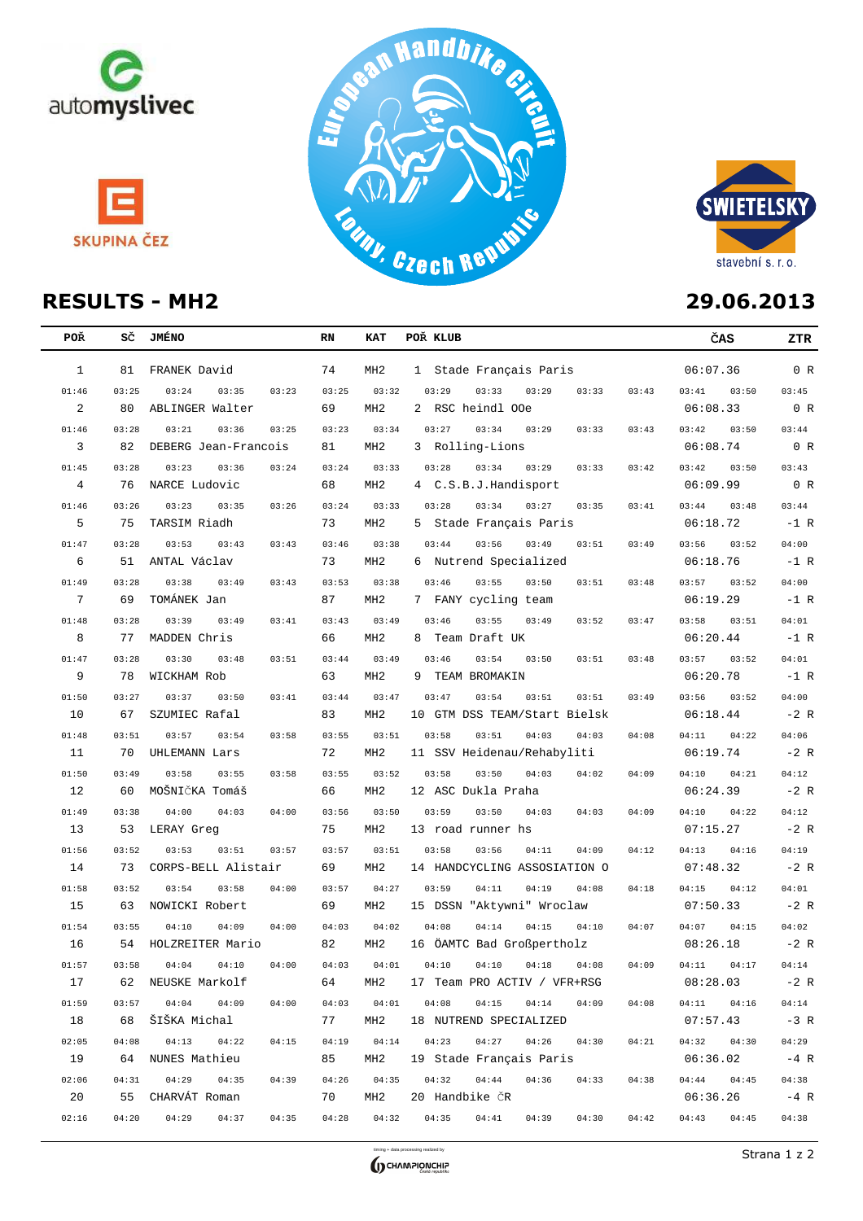







| <b>POŘ</b>      | sč          | <b>JMÉNO</b>                             | RN          | KAT             | POŘ KLUB                                           |       | ČAS                         | ZTR             |
|-----------------|-------------|------------------------------------------|-------------|-----------------|----------------------------------------------------|-------|-----------------------------|-----------------|
| $\mathbf{1}$    | 81          | FRANEK David                             | 74          | MH <sub>2</sub> | 1 Stade Français Paris                             |       | 06:07.36                    | 0 R             |
| 01:46           | 03:25       | 03:24<br>03:35<br>03:23                  | 03:25       | 03:32           | 03:29<br>03:33<br>03:29<br>03:33                   | 03:43 | 03:41<br>03:50              | 03:45           |
| 2               | 80          | ABLINGER Walter                          | 69          | MH <sub>2</sub> | 2 RSC heindl OOe                                   |       | 06:08.33                    | 0 R             |
| 01:46           | 03:28       | 03:21<br>03:36<br>03:25                  | 03:23       | 03:34           | 03:27<br>03:34<br>03:29<br>03:33                   | 03:43 | 03:42<br>03:50              | 03:44           |
| 3               | 82          | DEBERG Jean-Francois                     | 81          | MH <sub>2</sub> | 3 Rolling-Lions                                    |       | 06:08.74                    | 0 R             |
| 01:45           | 03:28       | 03:23<br>03:36<br>03:24                  | 03:24       | 03:33           | 03:28<br>03:34<br>03:29<br>03:33                   | 03:42 | 03:42<br>03:50              | 03:43           |
| $\overline{4}$  | 76          | NARCE Ludovic                            | 68          | MH <sub>2</sub> | 4 C.S.B.J.Handisport                               |       | 06:09.99                    | 0 R             |
| 01:46           | 03:26       | 03:23<br>03:35<br>03:26                  | 03:24       | 03:33           | 03:28<br>03:34<br>03:27<br>03:35                   | 03:41 | 03:44<br>03:48              | 03:44           |
| 5               | 75          | TARSIM Riadh                             | 73          | MH <sub>2</sub> | 5 Stade Français Paris                             |       | 06:18.72                    | $-1$ R          |
| 01:47           | 03:28       | 03:53<br>03:43<br>03:43                  | 03:46       | 03:38           | 03:44<br>03:56<br>03:49<br>03:51                   | 03:49 | 03:56<br>03:52              | 04:00           |
| 6               | 51          | ANTAL Václav                             | 73          | MH <sub>2</sub> | 6 Nutrend Specialized                              |       | 06:18.76                    | $-1$ R          |
| 01:49           | 03:28       | 03:38<br>03:49<br>03:43                  | 03:53       | 03:38           | 03:46<br>03:55<br>03:50<br>03:51                   | 03:48 | 03:57<br>03:52              | 04:00           |
| $7\phantom{.0}$ | 69          | TOMÁNEK Jan                              | 87          | MH <sub>2</sub> | 7 FANY cycling team                                |       | 06:19.29                    | $-1$ R          |
| 01:48           | 03:28       | 03:39<br>03:49<br>03:41                  | 03:43       | 03:49           | 03:46<br>03:55<br>03:49<br>03:52                   | 03:47 | 03:58<br>03:51              | 04:01           |
| 8               | 77          | MADDEN Chris                             | 66          | MH2             | 8 Team Draft UK                                    |       | 06:20.44                    | $-1$ R          |
| 01:47           | 03:28       | 03:30<br>03:48<br>03:51                  | 03:44       | 03:49           | 03:54<br>03:46<br>03:50<br>03:51                   | 03:48 | 03:57<br>03:52              | 04:01           |
| 9               | 78          | WICKHAM Rob                              | 63          | MH <sub>2</sub> | 9 TEAM BROMAKIN                                    |       | 06:20.78                    | $-1$ R          |
| 01:50           | 03:27       | 03:37<br>03:50<br>03:41                  | 03:44       | 03:47           | 03:47<br>03:54<br>03:51<br>03:51                   | 03:49 | 03:56<br>03:52              | 04:00           |
| 10              | 67          | SZUMIEC Rafal                            | 83          | MH <sub>2</sub> | 10 GTM DSS TEAM/Start Bielsk                       |       | 06:18.44                    | $-2 R$          |
| 01:48           | 03:51       | 03:57<br>03:54<br>03:58                  | 03:55       | 03:51           | 04:03<br>03:58<br>03:51<br>04:03                   | 04:08 | 04:11<br>04:22              | 04:06           |
| 11              | 70          | UHLEMANN Lars                            | 72          | MH <sub>2</sub> | 11 SSV Heidenau/Rehabyliti                         |       | 06:19.74                    | $-2$ R          |
| 01:50           | 03:49       | 03:58<br>03:55<br>03:58                  | 03:55       | 03:52           | 03:58<br>03:50<br>04:03<br>04:02                   | 04:09 | 04:10<br>04:21              | 04:12           |
| 12              | 60          | MOŠNIČKA Tomáš                           | 66          | MH <sub>2</sub> | 12 ASC Dukla Praha                                 |       | 06:24.39                    | $-2 R$          |
| 01:49           | 03:38       | 04:00<br>04:03<br>04:00                  | 03:56       | 03:50           | 03:59<br>03:50<br>04:03<br>04:03                   | 04:09 | 04:10<br>04:22              | 04:12           |
| 13              | 53          | LERAY Greg                               | 75          | MH2             | 13 road runner hs                                  |       | 07:15.27                    | $-2 R$          |
| 01:56           | 03:52       | 03:53<br>03:51<br>03:57                  | 03:57       | 03:51           | 03:58<br>03:56<br>04:11<br>04:09                   | 04:12 | 04:13<br>04:16              | 04:19           |
| 14              | 73          | CORPS-BELL Alistair                      | 69          | MH <sub>2</sub> | 14 HANDCYCLING ASSOSIATION O                       |       | 07:48.32                    | $-2 R$          |
| 01:58           | 03:52       | 03:54<br>03:58<br>04:00                  | 03:57       | 04:27           | 03:59<br>04:11<br>04:19<br>04:08                   | 04:18 | 04:15<br>04:12              | 04:01           |
| 15              | 63          | NOWICKI Robert                           | 69          | MH <sub>2</sub> | 15 DSSN "Aktywni" Wroclaw                          |       | 07:50.33                    | $-2$ R          |
| 01:54           | 03:55       | 04:10<br>04:09<br>04:00                  | 04:03       | 04:02           | 04:08<br>04:14<br>04:15<br>04:10                   | 04:07 | 04:07<br>04:15              | 04:02           |
| 16              | 54          | HOLZREITER Mario                         | 82          | MH <sub>2</sub> | 16 ÖAMTC Bad Großpertholz                          |       | 08:26.18                    | $-2 R$          |
| 01:57           | 03:58       | 04:04<br>04:10<br>04:00                  | 04:03       | 04:01           | 04:10<br>04:10<br>04:18<br>04:08                   | 04:09 | 04:11<br>04:17              | 04:14           |
| 17              |             | 62 NEUSKE Markolf                        | 64          | MH2             | 17 Team PRO ACTIV / VFR+RSG                        |       | 08:28.03                    | $-2 R$          |
| 01:59           |             | $03:57$ $04:04$ $04:09$<br>04:00         | 04:03       |                 | $04:01$ $04:08$ $04:15$ $04:14$<br>04:09           | 04:08 | $04:11$ $04:16$             | 04:14           |
| 18              |             | 68   ŠIŠKA Michal                        | 77          | MH2             | 18 NUTREND SPECIALIZED                             |       | $07:57.43 -3 R$             |                 |
| 02:05           | 04:08       | $04:13$ $04:22$<br>04:15                 | 04:19       |                 | $04:14$ $04:23$ $04:27$ $04:26$ $04:30$            | 04:21 | 04:32 04:30                 | 04:29           |
| 19              |             | 64 NUNES Mathieu                         | 85          | MH2             | 19 Stade Français Paris                            |       | 06:36.02                    | $-4$ R          |
|                 |             |                                          |             |                 |                                                    |       |                             |                 |
| 02:06<br>20     | 04:31<br>55 | 04:29<br>04:35<br>04:39<br>CHARVÁT Roman | 04:26<br>70 | 04:35<br>MH2    | 04:32<br>04:44<br>04:36<br>04:33<br>20 Handbike ČR | 04:38 | $04:44$ $04:45$<br>06:36.26 | 04:38<br>$-4$ R |
|                 |             |                                          |             |                 |                                                    |       |                             |                 |
| 02:16           | 04:20       | 04:29<br>04:37<br>04:35                  |             |                 | $04:28$ $04:32$ $04:35$ $04:41$<br>04:39<br>04:30  | 04:42 | $04:43$ $04:45$             | 04:38           |